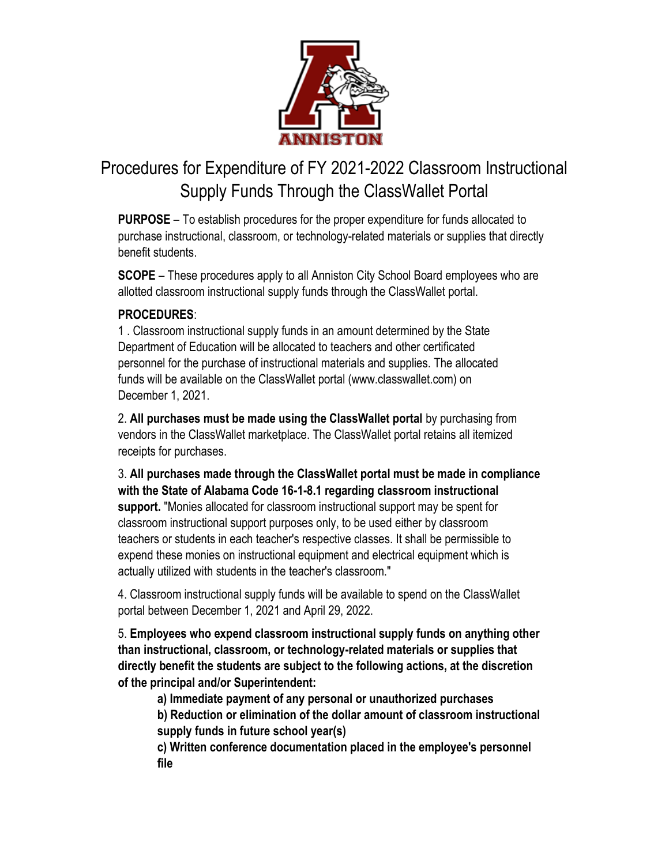

## Procedures for Expenditure of FY 2021-2022 Classroom Instructional Supply Funds Through the ClassWallet Portal

**PURPOSE** – To establish procedures for the proper expenditure for funds allocated to purchase instructional, classroom, or technology-related materials or supplies that directly benefit students.

**SCOPE** – These procedures apply to all Anniston City School Board employees who are allotted classroom instructional supply funds through the ClassWallet portal.

## **PROCEDURES**:

1 . Classroom instructional supply funds in an amount determined by the State Department of Education will be allocated to teachers and other certificated personnel for the purchase of instructional materials and supplies. The allocated funds will be available on the ClassWallet portal (www.classwallet.com) on December 1, 2021.

2. **All purchases must be made using the ClassWallet portal** by purchasing from vendors in the ClassWallet marketplace. The ClassWallet portal retains all itemized receipts for purchases.

3. **All purchases made through the ClassWallet portal must be made in compliance with the State of Alabama Code 16-1-8.1 regarding classroom instructional support.** "Monies allocated for classroom instructional support may be spent for classroom instructional support purposes only, to be used either by classroom teachers or students in each teacher's respective classes. It shall be permissible to expend these monies on instructional equipment and electrical equipment which is actually utilized with students in the teacher's classroom."

4. Classroom instructional supply funds will be available to spend on the ClassWallet portal between December 1, 2021 and April 29, 2022.

5. **Employees who expend classroom instructional supply funds on anything other than instructional, classroom, or technology-related materials or supplies that directly benefit the students are subject to the following actions, at the discretion of the principal and/or Superintendent:**

**a) Immediate payment of any personal or unauthorized purchases**

**b) Reduction or elimination of the dollar amount of classroom instructional supply funds in future school year(s)**

**c) Written conference documentation placed in the employee's personnel file**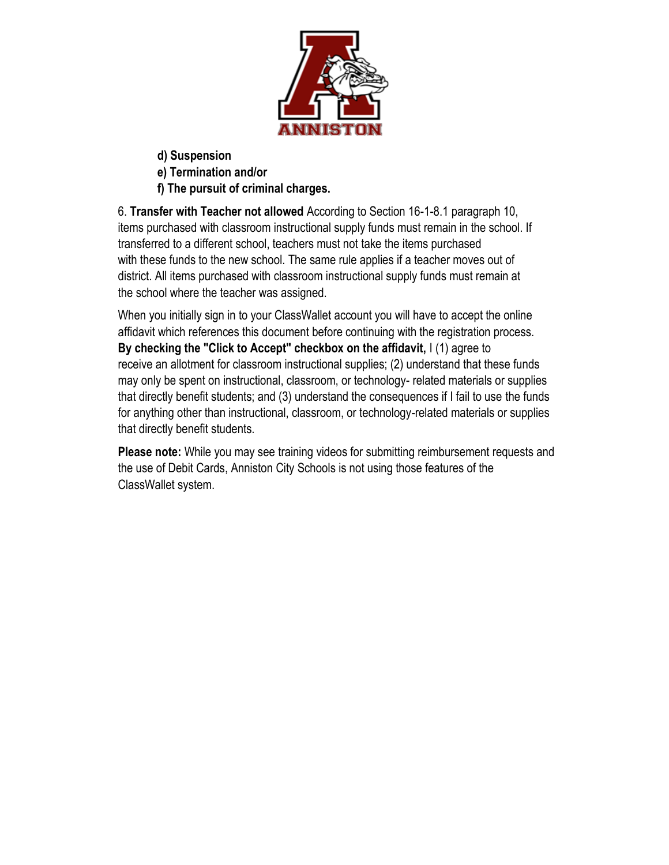

**d) Suspension**

**e) Termination and/or**

**f) The pursuit of criminal charges.**

6. **Transfer with Teacher not allowed** According to Section 16-1-8.1 paragraph 10, items purchased with classroom instructional supply funds must remain in the school. If transferred to a different school, teachers must not take the items purchased with these funds to the new school. The same rule applies if a teacher moves out of district. All items purchased with classroom instructional supply funds must remain at the school where the teacher was assigned.

When you initially sign in to your ClassWallet account you will have to accept the online affidavit which references this document before continuing with the registration process. **By checking the "Click to Accept" checkbox on the affidavit,** I (1) agree to receive an allotment for classroom instructional supplies; (2) understand that these funds may only be spent on instructional, classroom, or technology- related materials or supplies that directly benefit students; and (3) understand the consequences if I fail to use the funds for anything other than instructional, classroom, or technology-related materials or supplies that directly benefit students.

**Please note:** While you may see training videos for submitting reimbursement requests and the use of Debit Cards, Anniston City Schools is not using those features of the ClassWallet system.